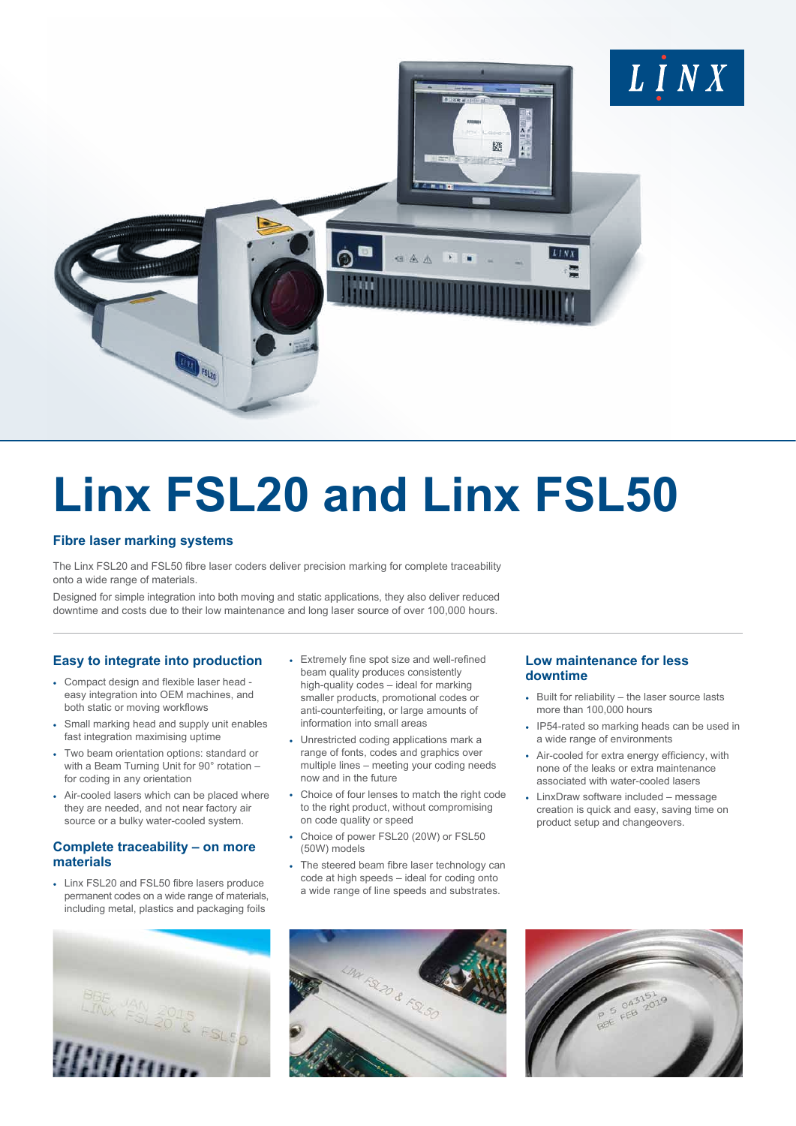

# **Linx FSL20 and Linx FSL50**

# **Fibre laser marking systems**

The Linx FSL20 and FSL50 fibre laser coders deliver precision marking for complete traceability onto a wide range of materials.

Designed for simple integration into both moving and static applications, they also deliver reduced downtime and costs due to their low maintenance and long laser source of over 100,000 hours.

# **Easy to integrate into production**

- Compact design and flexible laser head easy integration into OEM machines, and both static or moving workflows
- Small marking head and supply unit enables fast integration maximising uptime
- Two beam orientation options: standard or with a Beam Turning Unit for 90° rotation – for coding in any orientation
- Air-cooled lasers which can be placed where they are needed, and not near factory air source or a bulky water-cooled system.

# **Complete traceability – on more materials**

• Linx FSL20 and FSL50 fibre lasers produce permanent codes on a wide range of materials, including metal, plastics and packaging foils

- Extremely fine spot size and well-refined beam quality produces consistently high-quality codes – ideal for marking smaller products, promotional codes or anti-counterfeiting, or large amounts of information into small areas
- Unrestricted coding applications mark a range of fonts, codes and graphics over multiple lines – meeting your coding needs now and in the future
- Choice of four lenses to match the right code to the right product, without compromising on code quality or speed
- Choice of power FSL20 (20W) or FSL50 (50W) models
- The steered beam fibre laser technology can code at high speeds – ideal for coding onto a wide range of line speeds and substrates.

### **Low maintenance for less downtime**

- Built for reliability the laser source lasts more than 100,000 hours
- IP54-rated so marking heads can be used in a wide range of environments
- Air-cooled for extra energy efficiency, with none of the leaks or extra maintenance associated with water-cooled lasers
- LinxDraw software included message creation is quick and easy, saving time on product setup and changeovers.